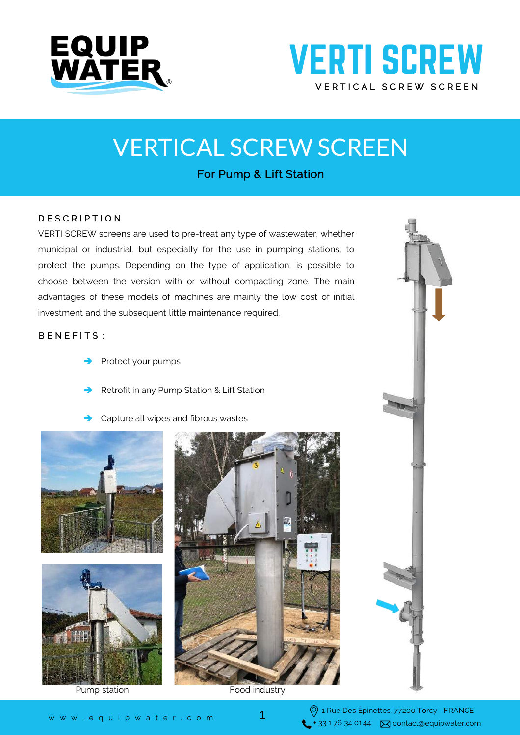

## **VERTI SCREW** VERTICAL SCREW SCREEN

# VERTICAL SCREW SCREEN

### For Pump & Lift Station

#### D E S C R I P T I O N

VERTI SCREW screens are used to pre-treat any type of wastewater, whether municipal or industrial, but especially for the use in pumping stations, to protect the pumps. Depending on the type of application, is possible to choose between the version with or without compacting zone. The main advantages of these models of machines are mainly the low cost of initial investment and the subsequent little maintenance required.

#### BENEFITS :

- Protect your pumps
- Retrofit in any Pump Station & Lift Station
- Capture all wipes and fibrous wastes











1